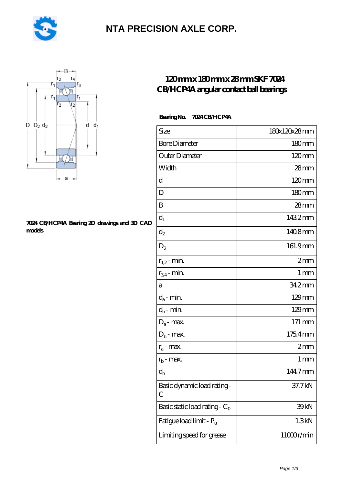

# **[NTA PRECISION AXLE CORP.](https://m.pejle.com)**



#### **[7024 CB/HCP4A Bearing 2D drawings and 3D CAD](https://m.pejle.com/pic-448167.html) [models](https://m.pejle.com/pic-448167.html)**

### **[120 mm x 180 mm x 28 mm SKF 7024](https://m.pejle.com/sell-448167-120-mm-x-180-mm-x-28-mm-skf-7024-cb-hcp4a-angular-contact-ball-bearings.html) [CB/HCP4A angular contact ball bearings](https://m.pejle.com/sell-448167-120-mm-x-180-mm-x-28-mm-skf-7024-cb-hcp4a-angular-contact-ball-bearings.html)**

#### **Bearing No. 7024 CB/HCP4A**

| Size                                      | 180x120x28mm      |
|-------------------------------------------|-------------------|
| <b>Bore Diameter</b>                      | 180mm             |
| Outer Diameter                            | $120 \text{mm}$   |
| Width                                     | $28$ mm           |
| d                                         | 120mm             |
| D                                         | 180mm             |
| B                                         | 28 <sub>mm</sub>  |
| $d_1$                                     | 1432mm            |
| $\mathrm{d}_2$                            | 1408mm            |
| $D_2$                                     | 161.9mm           |
| $r_{1,2}$ - min.                          | 2mm               |
| $r_{34}$ - min.                           | $1 \,\mathrm{mm}$ |
| а                                         | 342mm             |
| $d_a$ - min.                              | 129mm             |
| $d_b\operatorname{-} \min$                | $129$ mm          |
| $D_a$ - max.                              | 171 mm            |
| $D_b$ - max.                              | 1754mm            |
| $r_a$ - max.                              | 2mm               |
| $r_{b}$ - max.                            | 1 mm              |
| $d_{n}$                                   | 144.7mm           |
| Basic dynamic load rating-<br>С           | 37.7kN            |
| Basic static load rating - C <sub>0</sub> | 39 <sub>kN</sub>  |
| Fatigue load limit - Pu                   | 1.3kN             |
| Limiting speed for grease                 | 11000r/min        |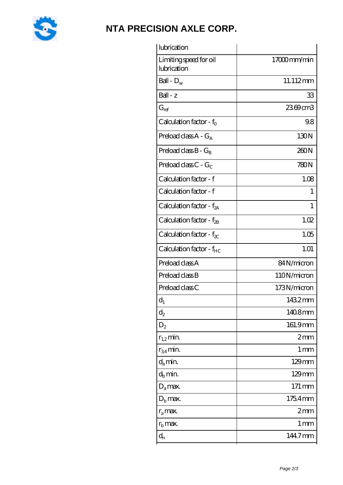

## **[NTA PRECISION AXLE CORP.](https://m.pejle.com)**

| lubrication                           |                     |
|---------------------------------------|---------------------|
| Limiting speed for oil<br>lubrication | 17000mm/min         |
| Ball - $D_w$                          | 11.112mm            |
| Ball - z                              | 33                  |
| $G_{ref}$                             | 2369cm3             |
| Calculation factor - $f_0$            | 98                  |
| Preload class $A - G_A$               | 130N                |
| Preload class $B - G_B$               | 260N                |
| Preload class C - $G_C$               | 780N                |
| Calculation factor - f                | 1.08                |
| Calculation factor - f                | 1                   |
| Calculation factor - $f_{2A}$         | 1                   |
| Calculation factor - $f_{\rm 2B}$     | 1.02                |
| Calculation factor - $f_{\chi}$       | 1.05                |
| Calculation factor - $f_{HC}$         | 1.01                |
| Preload class A                       | 84N/micron          |
| Preload class B                       | 110N/micron         |
| Preload class C                       | 173N/micron         |
| $d_1$                                 | 1432mm              |
| $\mathrm{d}_2$                        | 1408mm              |
| $D_2$                                 | 161.9mm             |
| $r_{1,2}$ min.                        | 2mm                 |
| $r_{34}$ min.                         | 1 <sub>mm</sub>     |
| $d_a$ min.                            | $129 \text{mm}$     |
| $d_h$ min.                            | $129$ mm            |
| $D_a$ max.                            | $171 \,\mathrm{mm}$ |
| $D_{b}$ max.                          | 1754mm              |
| $r_a$ max.                            | 2mm                 |
| $r_{\rm b}$ max.                      | 1 mm                |
| $\mathbf{d}_{\rm n}$                  | 144.7mm             |